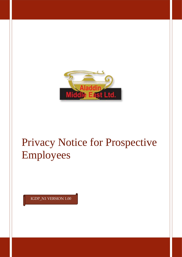

# Privacy Notice for Prospective Employees

IGDP\_N1 VERSION 1.00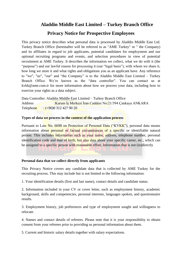# **Aladdin Middle East Limited – Turkey Branch Office**

## **Privacy Notice for Prospective Employees**

This privacy notice describes what personal data is processed by Aladdin Middle East Ltd. Turkey Branch Office (hereinafter will be referred to as "AME Turkey" or " the Company) and its affiliates in regard to job applicants, potential candidates for employment and our optional recruiting programs and events, and selection procedures in view of potential recruitment at AME Turkey. It describes the information we collect, what we do with it (the "purpose") and our lawful reason for processing it (our "legal basis"), with whom we share it, how long we store it and what rights and obligations you as an applicant have. Any reference to "we", "us", "our" and "the Company" is to the Aladdin Middle East Limited – Turkey Branch Office. We're known as the "data controller". You can contact us at kvkk@ame.com.tr for more information about how we process your data, including how to exercise your rights as a data subject.

Data Controller: Aladdin Middle East Limited – Turkey Branch Office Address :Karum İş Merkezi İran Caddesi No:21/394 Çankaya ANKARA Telephone : (+90)0 312 427 90 20

#### **Types of data we process in the context of the application process**

Pursuant to Law No. 6698 on Protection of Personal Data ("KVKK"), personal data means information about personal or factual circumstances of a specific or identifiable natural person. This includes information such as your name, address, telephone number, personal identification code and date of birth, but also data about your specific career, etc., which can be assigned to a specific person with reasonable effort. Information that is not (in)directly

#### **Personal data that we collect directly from applicants**

This Privacy Notice covers any candidate data that is collected by AME Turkey for the recruiting process. This may include but is not limited to the following information:

1. Your identification details (first and last name), contact details and candidate status.

2. Information included in your CV or cover letter, such as employment history, academic background, skills and competencies, personal interests, languages spoken, and questionnaire results.

3. Employment history, job preferences and type of employment sought and willingness to relocate.

4. Names and contact details of referees. Please note that it is your responsibility to obtain consent from your referees prior to providing us personal information about them.

5. Current and historic salary details together with salary expectations.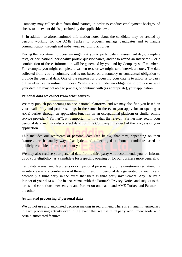Company may collect data from third parties, in order to conduct employment background check, to the extent this is permitted by the applicable laws.

6. In addition to aforementioned information notes about the candidate may be created by persons working for the AME Turkey to process, manage candidates and to handle communication through and in-between recruiting activities.

During the recruitment process we might ask you to participate in assessment days, complete tests, or occupational personality profile questionnaires, and/or to attend an interview – or a combination of these. Information will be generated by you and by Company staff members. For example, you might complete a written test, or we might take interview notes. The data collected from you is voluntary and is not based on a statutory or contractual obligation to provide the personal data. One of the reasons for processing your data is to allow us to carry out an effective recruitment process. Whilst you are under no obligation to provide us with your data, we may not able to process, or continue with (as appropriate), your application.

## **Personal data we collect from other sources**

We may publish job openings on occupational platforms, and we may also find you based on your availability and profile settings in the same. In the event you apply for an opening at AME Turkey through an application function on an occupational platform or similar online service provider ("Partner"), it is important to note that the relevant Partner may retain your personal data and may also collect data from the Company in respect of the progress of your application.

This includes our recipients of personal data (see below) that may, depending on their features, enrich data by way of analytics and collecting data about a candidate based on publicly available information about you.

We may also receive your personal data from a third party who recommends you, or informs us of your eligibility, as a candidate for a specific opening or for our business more generally.

Candidate assessment days, tests or occupational personality profile questionnaires, attending an interview – or a combination of these will result in personal data generated by you, us and potentially a third party in the event that there is third party involvement. Any use by a Partner of your data will be in accordance with the Partner's Privacy Notice and subject to the terms and conditions between you and Partner on one hand, and AME Turkey and Partner on the other.

#### **Automated processing of personal data**

We do not use any automated decision making in recruitment. There is a human intermediary in each processing activity even in the event that we use third party recruitment tools with certain automated features.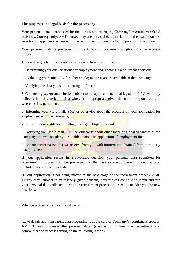#### **The purposes and legal basis for the processing**

Your personal data is processed for the purposes of managing Company's recruitment related activities. Consequently, AME Turkey may use personal data in relation to the evaluation and selection of applicants as needed in the recruitment process, including procuring manpower**.**

Your personal data is processed for the following purposes throughout our recruitment process:

1. Identifying potential candidates for open or future positions;

2. Determining your qualifications for employment and reaching a recruitment decision;

3. Evaluating your suitability for other employment vacancies available at the Company;

4. Verifying the data you submit through referees;

5. Conducting background checks (subject to the applicable national legislation). We will only collect criminal conviction data where it is appropriate given the nature of your role and where the law permits us;

6. Informing you, via e-mail, SMS or otherwise about the progress of your application for employment with the Company;

7. Protecting our rights and fulfilling our legal obligations; and

8. Notifying you, via e-mail, SMS or otherwise about other local or global vacancies at the Company that we consider you suitable to make an application of employment for;

9. Enhance information that we receive from you with information obtained from third party data providers.

If your application results in a favorable decision, your personal data submitted for recruitment purposes may be processed for the necessary employment procedures and included in your personnel file.

If your application is not being moved to the next stage of the recruitment process, AME Turkey may (subject to your freely given consent) nevertheless continue to retain and use your personal data collected during the recruitment process in order to consider you for new positions.

Why we process your data (Legal basis)

Lawful, fair and transparent data processing is at the core of Company's recruitment process. AME Turkey processes the personal data generated throughout the recruitment and communication process relying on the following reasons: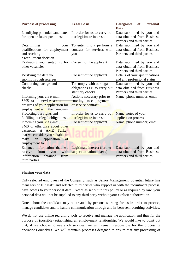| <b>Purpose of processing</b>      | <b>Legal Basis</b>            | <b>Personal</b><br><b>Categories</b><br><b>of</b> |
|-----------------------------------|-------------------------------|---------------------------------------------------|
|                                   |                               | Data                                              |
| Identifying potential candidates  | In order for us to carry out  | Data submitted by you and                         |
| for open or future positions;     | our legitimate interests      | data obtained from Business                       |
|                                   |                               | Partners and third parties                        |
| Determining<br>your               | To enter into / perform a     | Data submitted by you and                         |
| qualifications for employment     | contract for services with    | data obtained from Business                       |
| and reaching                      | you                           | Partners and third parties                        |
| a recruitment decision            |                               |                                                   |
| Evaluating your suitability for   | Consent of the applicant      | Data submitted by you and                         |
| other vacancies                   |                               | data obtained from Business                       |
|                                   |                               | Partners and third parties                        |
| Verifying the data you            | Consent of the applicant      | Details of your qualifications                    |
| submit through referees           |                               | and any professional status                       |
| Conducting background             | To comply with our legal      | Data submitted by you and                         |
| checks                            | obligations i.e. to carry out | data obtained from Business                       |
|                                   | statutory checks              | Partners and third parties                        |
| Informing you, via e-mail,        | Actions necessary prior to    | Name, phone number, email                         |
| SMS or otherwise about the        | entering into employment      |                                                   |
| progress of your application for  | or service contract           |                                                   |
| employment with the Company       |                               |                                                   |
| Protecting our rights and         | In order for us to carry out  | Name, notes of your                               |
| fulfilling our legal obligations; | our legitimate interests      | application process                               |
| Informing you, via e-mail,        | Consent of the applicant      | Name, phone number, email                         |
| SMS or otherwise about other      |                               |                                                   |
| at <b>AME Turkey</b><br>vacancies |                               |                                                   |
| that we consider you suitable to  |                               |                                                   |
| application<br>make<br>an<br>of   |                               |                                                   |
| employment for.                   |                               |                                                   |
| Enhance information that we       | Legitimate interest (further  | Data submitted by you and                         |
| from<br>with<br>receive<br>you    | subject to national laws)     | data obtained from Business                       |
| obtained<br>information<br>from   |                               | Partners and third parties                        |
| third parties                     |                               |                                                   |

#### **Sharing your data**

Only selected employees of the Company, such as Senior Management, potential future line managers or HR staff, and selected third parties who support us with the recruitment process, have access to your personal data. Except as set out in this policy or as required by law, your personal data will not be supplied to any third party without your explicit authorization.

Notes about the candidate may be created by persons working for us in order to process, manage candidates and to handle communication through and in-between recruiting activities.

We do not use online recruiting tools to receive and manage the application and thus for the purpose of (possible) establishing an employment relationship. We would like to point out that, if we choose to use such services, we will remain responsible for the processing operations ourselves. We will maintain processes designed to ensure that any processing of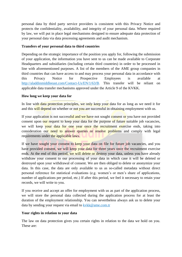personal data by third party service providers is consistent with this Privacy Notice and protects the confidentiality, availability, and integrity of your personal data. Where required by law, we will put in place legal mechanisms designed to ensure adequate data protection of your personal data via data processing agreements and audit mechanism.

## **Transfers of your personal data to third countries**

Depending on the strategic importance of the position you apply for, following the submission of your application, the information you have sent to us can be made available to Corporate Headquarters and subsidiaries (including certain third countries) in order to be processed in line with aforementioned purposes. A list of the members of the AME group companies in third countries that can have access to and may process your personal data in accordance with this Privacy Notice for Prospective Employees is available at [http://aladdinmiddleeast.com/Contact-Us/EN/1/63/B.](http://aladdinmiddleeast.com/Contact-Us/EN/1/63/B) This transfer will be reliant on applicable data transfer mechanisms approved under the Article 9 of the KVKK.

## **How long we keep your data for**

In line with data protection principles, we only keep your data for as long as we need it for and this will depend on whether or not you are successful in obtaining employment with us.

If your application is not successful and we have not sought consent or you have not provided consent upon our request to keep your data for the purpose of future suitable job vacancies, we will keep your data for one year once the recruitment exercise ends, taking into consideration our need to answer queries or resolve problems and comply with legal requirements under the applicable laws.

If we have sought your consent to keep your data on file for future job vacancies, and you have provided consent, we will keep your data for three years once the recruitment exercise ends. At the end of this period, we will delete or destroy your data, unless you have already withdraw your consent to our processing of your data in which case it will be deleted or destroyed upon your withdrawal of consent. We are then obliged to delete or anonymize your data. In this case, the data are only available to us as so-called metadata without direct personal reference for statistical evaluations (e.g. women's or men's share of applications, number of applications per period, etc.) If after this period, we feel it necessary to retain your records, we will write to you.

If you receive and accept an offer for employment with us as part of the application process, we will store the personal data collected during the application process for at least the duration of the employment relationship. You can nevertheless always ask us to delete your data by sending your request via email to  $k\nu k\nu \omega$  ame.com.tr

#### **Your rights in relation to your data**

The law on data protection gives you certain rights in relation to the data we hold on you. These are: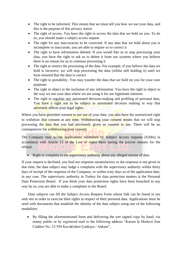- The right to be informed. This means that we must tell you how we use your data, and this is the purpose of this privacy notice
- The right of access. You have the right to access the data that we hold on you. To do so, you should make a subject access request
- The right for any inaccuracies to be corrected. If any data that we hold about you is incomplete or inaccurate, you are able to require us to correct it
- The right to have information deleted. If you would like us to stop processing your data, you have the right to ask us to delete it from our systems where you believe there is no reason for us to continue processing it
- The right to restrict the processing of the data. For example, if you believe the data we hold is incorrect, we will stop processing the data (whilst still holding it) until we have ensured that the data is correct
- The right to portability. You may transfer the data that we hold on you for your own purposes
- The right to object to the inclusion of any information. You have the right to object to the way we use your data where we are using it for our legitimate interests
- The right to regulate any automated decision-making and profiling of personal data. You have a right not to be subject to automated decision making in way that adversely affects your legal rights.

Where you have provided consent to our use of your data, you also have the unrestricted right to withdraw that consent at any time. Withdrawing your consent means that we will stop processing the data that you had previously given us consent to use. There will be no consequences for withdrawing your consent.

The Company may accept applications submitted by Subject Access requests (SARs) in accordance with Article 11 of the Law or reject them stating the precise reasons for the refusal.

• Right to complain to the supervisory authority about any alleged misuse of data

If your request is declined, you find our response unsatisfactory or the response is not given in due time, the data subject may lodge a complaint with the supervisory authority within thirty days of receipt of the response of the Company, or within sixty days as of the application date, in any case. The supervisory authority in Turkey for data protection matters is the Personal Data Protection Board. If you think your data protection rights have been breached in any way by us, you are able to make a complaint to the Board.

Data subjects can fill the Subject Access Request Form whose link can be found in our web site in order to exercise their rights in respect of their personal data. Applications must be send with documents that establish the identity of the data subject using one of the following modalities:

• By filling the aforementioned form and delivering the wet signed copy by hand, via notary public or by registered mail to the following address "Karum İş Merkezi İran Caddesi No: 21/394 Kavaklıdere Çankaya / Ankara",